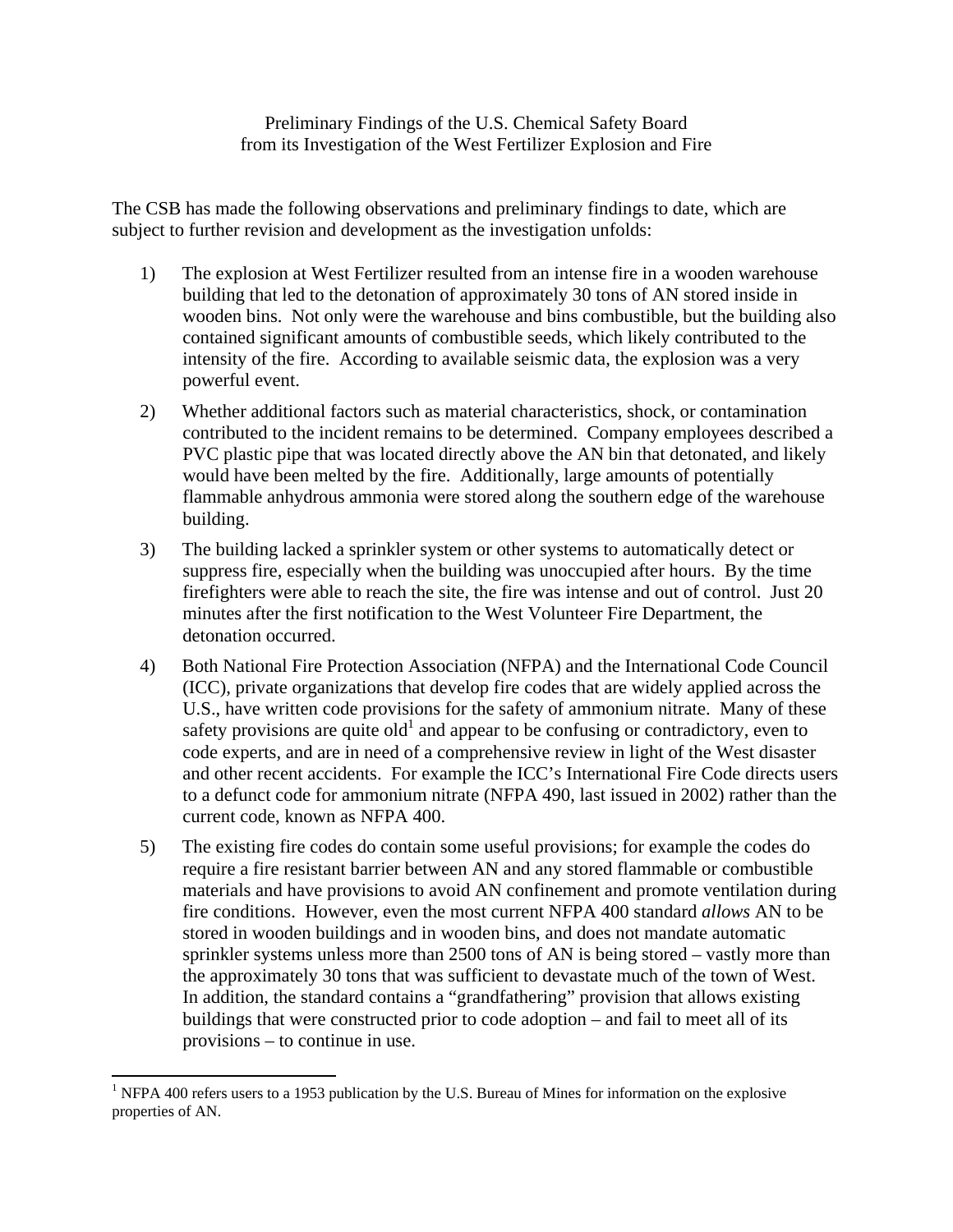Preliminary Findings of the U.S. Chemical Safety Board from its Investigation of the West Fertilizer Explosion and Fire

The CSB has made the following observations and preliminary findings to date, which are subject to further revision and development as the investigation unfolds:

- 1) The explosion at West Fertilizer resulted from an intense fire in a wooden warehouse building that led to the detonation of approximately 30 tons of AN stored inside in wooden bins. Not only were the warehouse and bins combustible, but the building also contained significant amounts of combustible seeds, which likely contributed to the intensity of the fire. According to available seismic data, the explosion was a very powerful event.
- 2) Whether additional factors such as material characteristics, shock, or contamination contributed to the incident remains to be determined. Company employees described a PVC plastic pipe that was located directly above the AN bin that detonated, and likely would have been melted by the fire. Additionally, large amounts of potentially flammable anhydrous ammonia were stored along the southern edge of the warehouse building.
- 3) The building lacked a sprinkler system or other systems to automatically detect or suppress fire, especially when the building was unoccupied after hours. By the time firefighters were able to reach the site, the fire was intense and out of control. Just 20 minutes after the first notification to the West Volunteer Fire Department, the detonation occurred.
- 4) Both National Fire Protection Association (NFPA) and the International Code Council (ICC), private organizations that develop fire codes that are widely applied across the U.S., have written code provisions for the safety of ammonium nitrate. Many of these safety provisions are quite  $old<sup>1</sup>$  and appear to be confusing or contradictory, even to code experts, and are in need of a comprehensive review in light of the West disaster and other recent accidents. For example the ICC's International Fire Code directs users to a defunct code for ammonium nitrate (NFPA 490, last issued in 2002) rather than the current code, known as NFPA 400.
- 5) The existing fire codes do contain some useful provisions; for example the codes do require a fire resistant barrier between AN and any stored flammable or combustible materials and have provisions to avoid AN confinement and promote ventilation during fire conditions. However, even the most current NFPA 400 standard *allows* AN to be stored in wooden buildings and in wooden bins, and does not mandate automatic sprinkler systems unless more than 2500 tons of AN is being stored – vastly more than the approximately 30 tons that was sufficient to devastate much of the town of West. In addition, the standard contains a "grandfathering" provision that allows existing buildings that were constructed prior to code adoption – and fail to meet all of its provisions – to continue in use.

<sup>&</sup>lt;sup>1</sup> NFPA 400 refers users to a 1953 publication by the U.S. Bureau of Mines for information on the explosive properties of AN.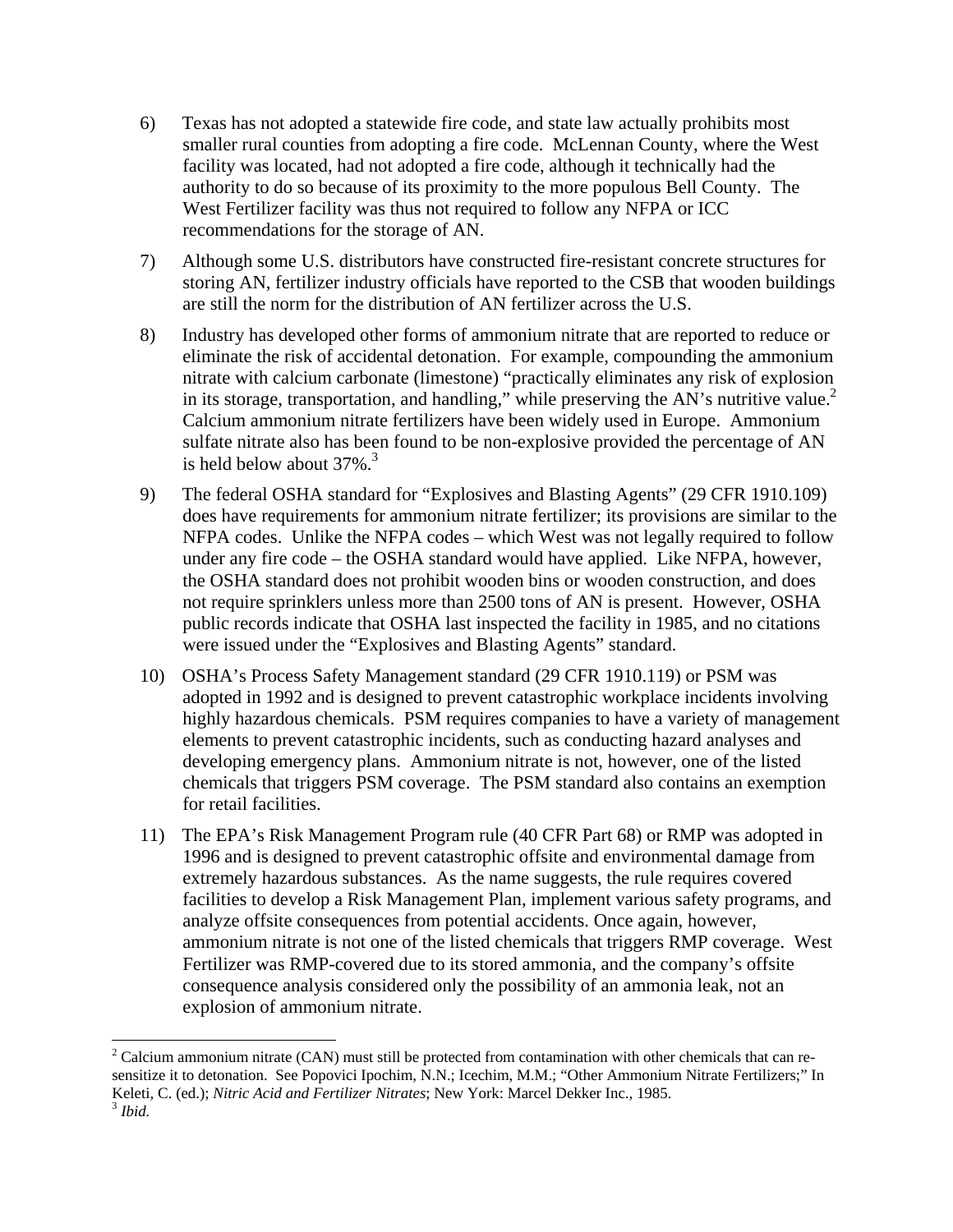- 6) Texas has not adopted a statewide fire code, and state law actually prohibits most smaller rural counties from adopting a fire code. McLennan County, where the West facility was located, had not adopted a fire code, although it technically had the authority to do so because of its proximity to the more populous Bell County. The West Fertilizer facility was thus not required to follow any NFPA or ICC recommendations for the storage of AN.
- 7) Although some U.S. distributors have constructed fire-resistant concrete structures for storing AN, fertilizer industry officials have reported to the CSB that wooden buildings are still the norm for the distribution of AN fertilizer across the U.S.
- 8) Industry has developed other forms of ammonium nitrate that are reported to reduce or eliminate the risk of accidental detonation. For example, compounding the ammonium nitrate with calcium carbonate (limestone) "practically eliminates any risk of explosion in its storage, transportation, and handling," while preserving the AN's nutritive value.<sup>2</sup> Calcium ammonium nitrate fertilizers have been widely used in Europe. Ammonium sulfate nitrate also has been found to be non-explosive provided the percentage of AN is held below about  $37\%$ .<sup>3</sup>
- 9) The federal OSHA standard for "Explosives and Blasting Agents" (29 CFR 1910.109) does have requirements for ammonium nitrate fertilizer; its provisions are similar to the NFPA codes. Unlike the NFPA codes – which West was not legally required to follow under any fire code – the OSHA standard would have applied. Like NFPA, however, the OSHA standard does not prohibit wooden bins or wooden construction, and does not require sprinklers unless more than 2500 tons of AN is present. However, OSHA public records indicate that OSHA last inspected the facility in 1985, and no citations were issued under the "Explosives and Blasting Agents" standard.
- 10) OSHA's Process Safety Management standard (29 CFR 1910.119) or PSM was adopted in 1992 and is designed to prevent catastrophic workplace incidents involving highly hazardous chemicals. PSM requires companies to have a variety of management elements to prevent catastrophic incidents, such as conducting hazard analyses and developing emergency plans. Ammonium nitrate is not, however, one of the listed chemicals that triggers PSM coverage. The PSM standard also contains an exemption for retail facilities.
- 11) The EPA's Risk Management Program rule (40 CFR Part 68) or RMP was adopted in 1996 and is designed to prevent catastrophic offsite and environmental damage from extremely hazardous substances. As the name suggests, the rule requires covered facilities to develop a Risk Management Plan, implement various safety programs, and analyze offsite consequences from potential accidents. Once again, however, ammonium nitrate is not one of the listed chemicals that triggers RMP coverage. West Fertilizer was RMP-covered due to its stored ammonia, and the company's offsite consequence analysis considered only the possibility of an ammonia leak, not an explosion of ammonium nitrate.

<sup>&</sup>lt;sup>2</sup> Calcium ammonium nitrate (CAN) must still be protected from contamination with other chemicals that can resensitize it to detonation. See Popovici Ipochim, N.N.; Icechim, M.M.; "Other Ammonium Nitrate Fertilizers;" In Keleti, C. (ed.); *Nitric Acid and Fertilizer Nitrates*; New York: Marcel Dekker Inc., 1985. <sup>3</sup> *Ibid.*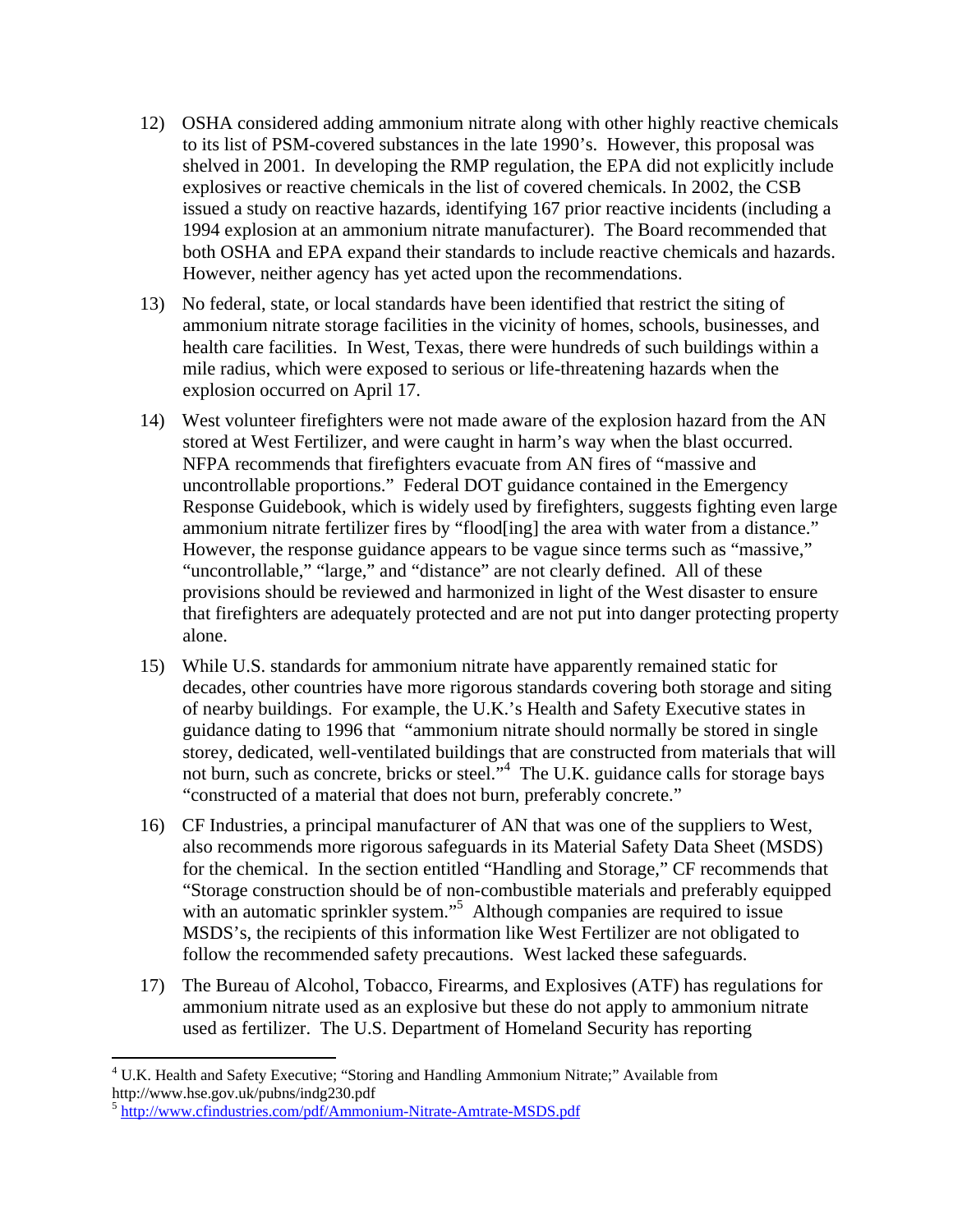- 12) OSHA considered adding ammonium nitrate along with other highly reactive chemicals to its list of PSM-covered substances in the late 1990's. However, this proposal was shelved in 2001. In developing the RMP regulation, the EPA did not explicitly include explosives or reactive chemicals in the list of covered chemicals. In 2002, the CSB issued a study on reactive hazards, identifying 167 prior reactive incidents (including a 1994 explosion at an ammonium nitrate manufacturer). The Board recommended that both OSHA and EPA expand their standards to include reactive chemicals and hazards. However, neither agency has yet acted upon the recommendations.
- 13) No federal, state, or local standards have been identified that restrict the siting of ammonium nitrate storage facilities in the vicinity of homes, schools, businesses, and health care facilities. In West, Texas, there were hundreds of such buildings within a mile radius, which were exposed to serious or life-threatening hazards when the explosion occurred on April 17.
- 14) West volunteer firefighters were not made aware of the explosion hazard from the AN stored at West Fertilizer, and were caught in harm's way when the blast occurred. NFPA recommends that firefighters evacuate from AN fires of "massive and uncontrollable proportions." Federal DOT guidance contained in the Emergency Response Guidebook, which is widely used by firefighters, suggests fighting even large ammonium nitrate fertilizer fires by "flood[ing] the area with water from a distance." However, the response guidance appears to be vague since terms such as "massive," "uncontrollable," "large," and "distance" are not clearly defined. All of these provisions should be reviewed and harmonized in light of the West disaster to ensure that firefighters are adequately protected and are not put into danger protecting property alone.
- 15) While U.S. standards for ammonium nitrate have apparently remained static for decades, other countries have more rigorous standards covering both storage and siting of nearby buildings. For example, the U.K.'s Health and Safety Executive states in guidance dating to 1996 that "ammonium nitrate should normally be stored in single storey, dedicated, well-ventilated buildings that are constructed from materials that will not burn, such as concrete, bricks or steel."<sup>4</sup> The U.K. guidance calls for storage bays "constructed of a material that does not burn, preferably concrete."
- 16) CF Industries, a principal manufacturer of AN that was one of the suppliers to West, also recommends more rigorous safeguards in its Material Safety Data Sheet (MSDS) for the chemical. In the section entitled "Handling and Storage," CF recommends that "Storage construction should be of non-combustible materials and preferably equipped with an automatic sprinkler system."<sup>5</sup> Although companies are required to issue MSDS's, the recipients of this information like West Fertilizer are not obligated to follow the recommended safety precautions. West lacked these safeguards.
- 17) The Bureau of Alcohol, Tobacco, Firearms, and Explosives (ATF) has regulations for ammonium nitrate used as an explosive but these do not apply to ammonium nitrate used as fertilizer. The U.S. Department of Homeland Security has reporting

 <sup>4</sup> U.K. Health and Safety Executive; "Storing and Handling Ammonium Nitrate;" Available from http://www.hse.gov.uk/pubns/indg230.pdf

<sup>5</sup> http://www.cfindustries.com/pdf/Ammonium-Nitrate-Amtrate-MSDS.pdf